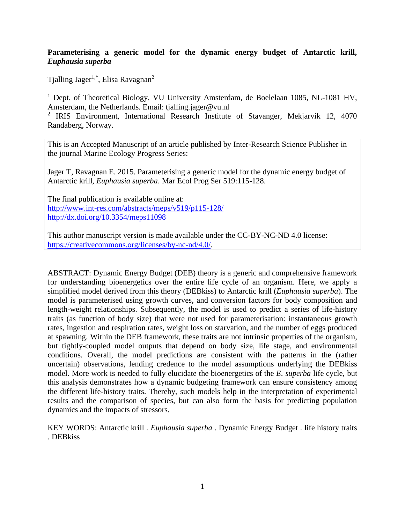## **Parameterising a generic model for the dynamic energy budget of Antarctic krill,**  *Euphausia superba*

Tjalling Jager<sup>1,\*</sup>, Elisa Ravagnan<sup>2</sup>

<sup>1</sup> Dept. of Theoretical Biology, VU University Amsterdam, de Boelelaan 1085, NL-1081 HV, Amsterdam, the Netherlands. Email: tjalling.jager@vu.nl

<sup>2</sup> IRIS Environment, International Research Institute of Stavanger, Mekjarvik 12, 4070 Randaberg, Norway.

This is an Accepted Manuscript of an article published by Inter-Research Science Publisher in the journal Marine Ecology Progress Series:

Jager T, Ravagnan E. 2015. Parameterising a generic model for the dynamic energy budget of Antarctic krill, *Euphausia superba*. Mar Ecol Prog Ser 519:115-128.

The final publication is available online at: <http://www.int-res.com/abstracts/meps/v519/p115-128/> <http://dx.doi.org/10.3354/meps11098>

This author manuscript version is made available under the CC-BY-NC-ND 4.0 license: [https://creativecommons.org/licenses/by-nc-nd/4.0/.](https://creativecommons.org/licenses/by-nc-nd/4.0/)

ABSTRACT: Dynamic Energy Budget (DEB) theory is a generic and comprehensive framework for understanding bioenergetics over the entire life cycle of an organism. Here, we apply a simplified model derived from this theory (DEBkiss) to Antarctic krill (*Euphausia superba*). The model is parameterised using growth curves, and conversion factors for body composition and length-weight relationships. Subsequently, the model is used to predict a series of life-history traits (as function of body size) that were not used for parameterisation: instantaneous growth rates, ingestion and respiration rates, weight loss on starvation, and the number of eggs produced at spawning. Within the DEB framework, these traits are not intrinsic properties of the organism, but tightly-coupled model outputs that depend on body size, life stage, and environmental conditions. Overall, the model predictions are consistent with the patterns in the (rather uncertain) observations, lending credence to the model assumptions underlying the DEBkiss model. More work is needed to fully elucidate the bioenergetics of the *E. superba* life cycle, but this analysis demonstrates how a dynamic budgeting framework can ensure consistency among the different life-history traits. Thereby, such models help in the interpretation of experimental results and the comparison of species, but can also form the basis for predicting population dynamics and the impacts of stressors.

KEY WORDS: Antarctic krill . *Euphausia superba* . Dynamic Energy Budget . life history traits . DEBkiss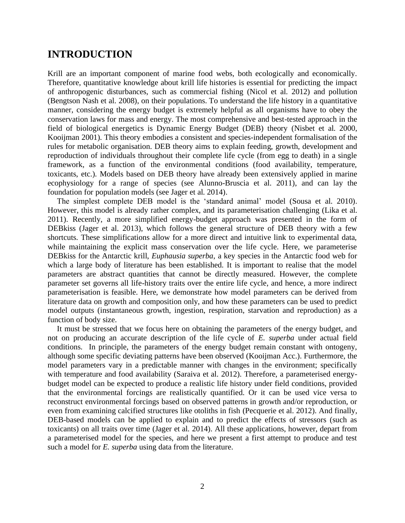# **INTRODUCTION**

Krill are an important component of marine food webs, both ecologically and economically. Therefore, quantitative knowledge about krill life histories is essential for predicting the impact of anthropogenic disturbances, such as commercial fishing (Nicol et al. 2012) and pollution (Bengtson Nash et al. 2008), on their populations. To understand the life history in a quantitative manner, considering the energy budget is extremely helpful as all organisms have to obey the conservation laws for mass and energy. The most comprehensive and best-tested approach in the field of biological energetics is Dynamic Energy Budget (DEB) theory (Nisbet et al. 2000, Kooijman 2001). This theory embodies a consistent and species-independent formalisation of the rules for metabolic organisation. DEB theory aims to explain feeding, growth, development and reproduction of individuals throughout their complete life cycle (from egg to death) in a single framework, as a function of the environmental conditions (food availability, temperature, toxicants, etc.). Models based on DEB theory have already been extensively applied in marine ecophysiology for a range of species (see Alunno-Bruscia et al. 2011), and can lay the foundation for population models (see Jager et al. 2014).

The simplest complete DEB model is the 'standard animal' model (Sousa et al. 2010). However, this model is already rather complex, and its parameterisation challenging (Lika et al. 2011). Recently, a more simplified energy-budget approach was presented in the form of DEBkiss (Jager et al. 2013), which follows the general structure of DEB theory with a few shortcuts. These simplifications allow for a more direct and intuitive link to experimental data, while maintaining the explicit mass conservation over the life cycle. Here, we parameterise DEBkiss for the Antarctic krill, *Euphausia superba*, a key species in the Antarctic food web for which a large body of literature has been established. It is important to realise that the model parameters are abstract quantities that cannot be directly measured. However, the complete parameter set governs all life-history traits over the entire life cycle, and hence, a more indirect parameterisation is feasible. Here, we demonstrate how model parameters can be derived from literature data on growth and composition only, and how these parameters can be used to predict model outputs (instantaneous growth, ingestion, respiration, starvation and reproduction) as a function of body size.

It must be stressed that we focus here on obtaining the parameters of the energy budget, and not on producing an accurate description of the life cycle of *E. superba* under actual field conditions. In principle, the parameters of the energy budget remain constant with ontogeny, although some specific deviating patterns have been observed (Kooijman Acc.). Furthermore, the model parameters vary in a predictable manner with changes in the environment; specifically with temperature and food availability (Saraiva et al. 2012). Therefore, a parameterised energybudget model can be expected to produce a realistic life history under field conditions, provided that the environmental forcings are realistically quantified. Or it can be used vice versa to reconstruct environmental forcings based on observed patterns in growth and/or reproduction, or even from examining calcified structures like otoliths in fish (Pecquerie et al. 2012). And finally, DEB-based models can be applied to explain and to predict the effects of stressors (such as toxicants) on all traits over time (Jager et al. 2014). All these applications, however, depart from a parameterised model for the species, and here we present a first attempt to produce and test such a model for *E. superba* using data from the literature.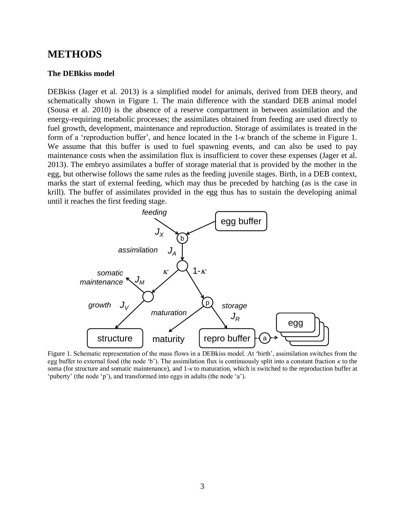# **METHODS**

#### **The DEBkiss model**

DEBkiss (Jager et al. 2013) is a simplified model for animals, derived from DEB theory, and schematically shown in Figure 1. The main difference with the standard DEB animal model (Sousa et al. 2010) is the absence of a reserve compartment in between assimilation and the energy-requiring metabolic processes; the assimilates obtained from feeding are used directly to fuel growth, development, maintenance and reproduction. Storage of assimilates is treated in the form of a 'reproduction buffer', and hence located in the 1-*κ* branch of the scheme in [Figure 1.](#page-2-0) We assume that this buffer is used to fuel spawning events, and can also be used to pay maintenance costs when the assimilation flux is insufficient to cover these expenses (Jager et al. 2013). The embryo assimilates a buffer of storage material that is provided by the mother in the egg, but otherwise follows the same rules as the feeding juvenile stages. Birth, in a DEB context, marks the start of external feeding, which may thus be preceded by hatching (as is the case in krill). The buffer of assimilates provided in the egg thus has to sustain the developing animal until it reaches the first feeding stage.



<span id="page-2-0"></span>Figure 1. Schematic representation of the mass flows in a DEBkiss model. At 'birth', assimilation switches from the egg buffer to external food (the node 'b'). The assimilation flux is continuously split into a constant fraction *κ* to the soma (for structure and somatic maintenance), and 1-*κ* to maturation, which is switched to the reproduction buffer at 'puberty' (the node 'p'), and transformed into eggs in adults (the node 'a').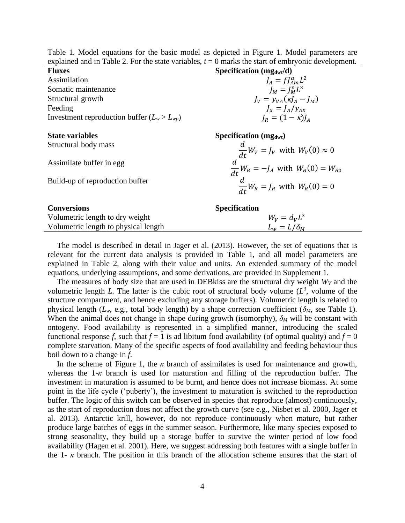| explained and in Table 2. For the state variables, $t = 0$ marks the start of embryonic development. |                                                                                                                                                 |  |  |  |
|------------------------------------------------------------------------------------------------------|-------------------------------------------------------------------------------------------------------------------------------------------------|--|--|--|
| <b>Fluxes</b>                                                                                        | Specification $(mg_{dwt}/d)$                                                                                                                    |  |  |  |
| Assimilation                                                                                         | $J_A = f J_{Am}^a L^2$                                                                                                                          |  |  |  |
| Somatic maintenance                                                                                  | $I_M = I_M^{\nu} L^3$                                                                                                                           |  |  |  |
| Structural growth                                                                                    | $J_V = \gamma_{VA} (\kappa J_A - J_M)$                                                                                                          |  |  |  |
| Feeding                                                                                              | $I_x = I_A / y_{AX}$                                                                                                                            |  |  |  |
| Investment reproduction buffer $(L_w > L_{wp})$                                                      | $J_R = (1 - \kappa)J_A$                                                                                                                         |  |  |  |
|                                                                                                      |                                                                                                                                                 |  |  |  |
| <b>State variables</b>                                                                               | <b>Specification</b> ( $mg_{dwt}$ )                                                                                                             |  |  |  |
| Structural body mass                                                                                 | $\frac{d}{dt}W_V = J_V$ with $W_V(0) \approx 0$<br>$\frac{d}{dt}W_B = -J_A$ with $W_B(0) = W_{B0}$<br>$\frac{d}{dt}W_R = J_R$ with $W_R(0) = 0$ |  |  |  |
|                                                                                                      |                                                                                                                                                 |  |  |  |
| Assimilate buffer in egg                                                                             |                                                                                                                                                 |  |  |  |
|                                                                                                      |                                                                                                                                                 |  |  |  |
| Build-up of reproduction buffer                                                                      |                                                                                                                                                 |  |  |  |
|                                                                                                      |                                                                                                                                                 |  |  |  |
| <b>Conversions</b>                                                                                   | <b>Specification</b>                                                                                                                            |  |  |  |
|                                                                                                      |                                                                                                                                                 |  |  |  |
| Volumetric length to dry weight                                                                      | $W_V = d_V L^3$                                                                                                                                 |  |  |  |

| Table 1. Model equations for the basic model as depicted in Figure 1. Model parameters are           |  |  |  |  |
|------------------------------------------------------------------------------------------------------|--|--|--|--|
| explained and in Table 2. For the state variables, $t = 0$ marks the start of embryonic development. |  |  |  |  |

The model is described in detail in Jager et al. (2013). However, the set of equations that is relevant for the current data analysis is provided in Table 1, and all model parameters are explained in Table 2, along with their value and units. An extended summary of the model equations, underlying assumptions, and some derivations, are provided in Supplement 1.

Volumetric length to physical length  $L_w = L/\delta_M$ 

The measures of body size that are used in DEBkiss are the structural dry weight  $W_V$  and the volumetric length *L*. The latter is the cubic root of structural body volume  $(L^3)$ , volume of the structure compartment, and hence excluding any storage buffers). Volumetric length is related to physical length ( $L_w$ , e.g., total body length) by a shape correction coefficient ( $\delta_M$ , see Table 1). When the animal does not change in shape during growth (isomorphy),  $\delta_M$  will be constant with ontogeny. Food availability is represented in a simplified manner, introducing the scaled functional response *f*, such that  $f = 1$  is ad libitum food availability (of optimal quality) and  $f = 0$ complete starvation. Many of the specific aspects of food availability and feeding behaviour thus boil down to a change in *f*.

In the scheme of [Figure 1,](#page-2-0) the  $\kappa$  branch of assimilates is used for maintenance and growth, whereas the 1-*κ* branch is used for maturation and filling of the reproduction buffer. The investment in maturation is assumed to be burnt, and hence does not increase biomass. At some point in the life cycle ('puberty'), the investment to maturation is switched to the reproduction buffer. The logic of this switch can be observed in species that reproduce (almost) continuously, as the start of reproduction does not affect the growth curve (see e.g., Nisbet et al. 2000, Jager et al. 2013). Antarctic krill, however, do not reproduce continuously when mature, but rather produce large batches of eggs in the summer season. Furthermore, like many species exposed to strong seasonality, they build up a storage buffer to survive the winter period of low food availability (Hagen et al. 2001). Here, we suggest addressing both features with a single buffer in the 1- $\kappa$  branch. The position in this branch of the allocation scheme ensures that the start of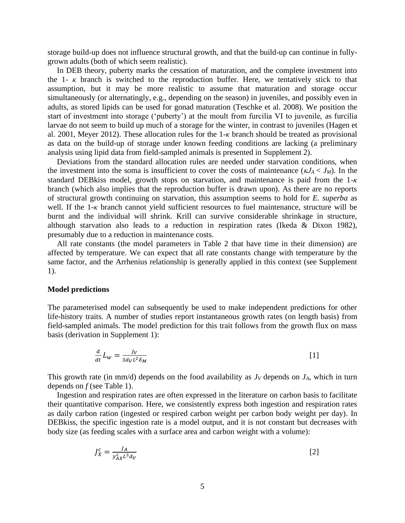storage build-up does not influence structural growth, and that the build-up can continue in fullygrown adults (both of which seem realistic).

In DEB theory, puberty marks the cessation of maturation, and the complete investment into the 1- $\kappa$  branch is switched to the reproduction buffer. Here, we tentatively stick to that assumption, but it may be more realistic to assume that maturation and storage occur simultaneously (or alternatingly, e.g., depending on the season) in juveniles, and possibly even in adults, as stored lipids can be used for gonad maturation (Teschke et al. 2008). We position the start of investment into storage ('puberty') at the moult from furcilia VI to juvenile, as furcilia larvae do not seem to build up much of a storage for the winter, in contrast to juveniles (Hagen et al. 2001, Meyer 2012). These allocation rules for the 1-*κ* branch should be treated as provisional as data on the build-up of storage under known feeding conditions are lacking (a preliminary analysis using lipid data from field-sampled animals is presented in Supplement 2).

Deviations from the standard allocation rules are needed under starvation conditions, when the investment into the soma is insufficient to cover the costs of maintenance ( $\kappa J_A < J_M$ ). In the standard DEBkiss model, growth stops on starvation, and maintenance is paid from the 1-*κ* branch (which also implies that the reproduction buffer is drawn upon). As there are no reports of structural growth continuing on starvation, this assumption seems to hold for *E. superba* as well. If the 1-*κ* branch cannot yield sufficient resources to fuel maintenance, structure will be burnt and the individual will shrink. Krill can survive considerable shrinkage in structure, although starvation also leads to a reduction in respiration rates (Ikeda & Dixon 1982), presumably due to a reduction in maintenance costs.

All rate constants (the model parameters in Table 2 that have time in their dimension) are affected by temperature. We can expect that all rate constants change with temperature by the same factor, and the Arrhenius relationship is generally applied in this context (see Supplement 1).

#### **Model predictions**

The parameterised model can subsequently be used to make independent predictions for other life-history traits. A number of studies report instantaneous growth rates (on length basis) from field-sampled animals. The model prediction for this trait follows from the growth flux on mass basis (derivation in Supplement 1):

$$
\frac{d}{dt}L_w = \frac{Jv}{3d_V L^2 \delta_M} \tag{1}
$$

This growth rate (in mm/d) depends on the food availability as  $J_V$  depends on  $J_A$ , which in turn depends on *f* (see Table 1).

Ingestion and respiration rates are often expressed in the literature on carbon basis to facilitate their quantitative comparison. Here, we consistently express both ingestion and respiration rates as daily carbon ration (ingested or respired carbon weight per carbon body weight per day). In DEBkiss, the specific ingestion rate is a model output, and it is not constant but decreases with body size (as feeding scales with a surface area and carbon weight with a volume):

$$
J_X^c = \frac{J_A}{\mathcal{Y}_{AX}^c L^3 d_V} \tag{2}
$$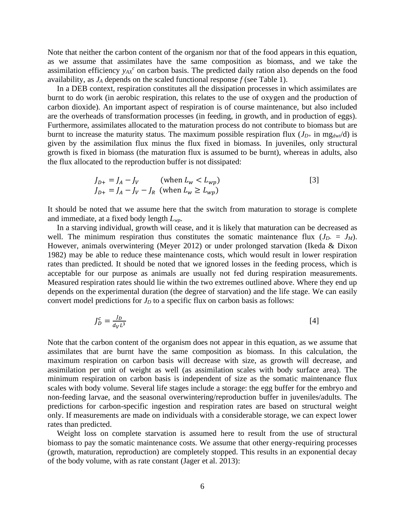Note that neither the carbon content of the organism nor that of the food appears in this equation, as we assume that assimilates have the same composition as biomass, and we take the assimilation efficiency *yAX c* on carbon basis. The predicted daily ration also depends on the food availability, as *J<sup>A</sup>* depends on the scaled functional response *f* (see Table 1).

In a DEB context, respiration constitutes all the dissipation processes in which assimilates are burnt to do work (in aerobic respiration, this relates to the use of oxygen and the production of carbon dioxide). An important aspect of respiration is of course maintenance, but also included are the overheads of transformation processes (in feeding, in growth, and in production of eggs). Furthermore, assimilates allocated to the maturation process do not contribute to biomass but are burnt to increase the maturity status. The maximum possible respiration flux  $(J_{D+}$  in mg<sub>dwt</sub>/d) is given by the assimilation flux minus the flux fixed in biomass. In juveniles, only structural growth is fixed in biomass (the maturation flux is assumed to be burnt), whereas in adults, also the flux allocated to the reproduction buffer is not dissipated:

$$
J_{D+} = J_A - J_V \qquad \text{(when } L_w < L_{wp})
$$
\n
$$
J_{D+} = J_A - J_V - J_R \quad \text{(when } L_w \ge L_{wp})
$$
\n
$$
[3]
$$

It should be noted that we assume here that the switch from maturation to storage is complete and immediate, at a fixed body length *Lwp*.

In a starving individual, growth will cease, and it is likely that maturation can be decreased as well. The minimum respiration thus constitutes the somatic maintenance flux  $(J_D = J_M)$ . However, animals overwintering (Meyer 2012) or under prolonged starvation (Ikeda & Dixon 1982) may be able to reduce these maintenance costs, which would result in lower respiration rates than predicted. It should be noted that we ignored losses in the feeding process, which is acceptable for our purpose as animals are usually not fed during respiration measurements. Measured respiration rates should lie within the two extremes outlined above. Where they end up depends on the experimental duration (the degree of starvation) and the life stage. We can easily convert model predictions for  $J<sub>D</sub>$  to a specific flux on carbon basis as follows:

$$
J_D^c = \frac{J_D}{d_V L^3} \tag{4}
$$

Note that the carbon content of the organism does not appear in this equation, as we assume that assimilates that are burnt have the same composition as biomass. In this calculation, the maximum respiration on carbon basis will decrease with size, as growth will decrease, and assimilation per unit of weight as well (as assimilation scales with body surface area). The minimum respiration on carbon basis is independent of size as the somatic maintenance flux scales with body volume. Several life stages include a storage: the egg buffer for the embryo and non-feeding larvae, and the seasonal overwintering/reproduction buffer in juveniles/adults. The predictions for carbon-specific ingestion and respiration rates are based on structural weight only. If measurements are made on individuals with a considerable storage, we can expect lower rates than predicted.

Weight loss on complete starvation is assumed here to result from the use of structural biomass to pay the somatic maintenance costs. We assume that other energy-requiring processes (growth, maturation, reproduction) are completely stopped. This results in an exponential decay of the body volume, with as rate constant (Jager et al. 2013):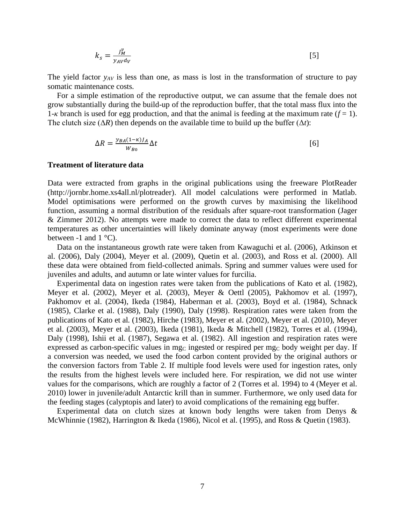$$
k_{s} = \frac{J_{M}^{v}}{y_{AV}d_{V}}
$$
 [5]

The yield factor *yAV* is less than one, as mass is lost in the transformation of structure to pay somatic maintenance costs.

For a simple estimation of the reproductive output, we can assume that the female does not grow substantially during the build-up of the reproduction buffer, that the total mass flux into the 1- $\kappa$  branch is used for egg production, and that the animal is feeding at the maximum rate ( $f = 1$ ). The clutch size  $(\Delta R)$  then depends on the available time to build up the buffer  $(\Delta t)$ :

$$
\Delta R = \frac{y_{BA}(1-\kappa)J_A}{W_{B0}} \Delta t
$$
 [6]

#### **Treatment of literature data**

Data were extracted from graphs in the original publications using the freeware PlotReader (http://jornbr.home.xs4all.nl/plotreader). All model calculations were performed in Matlab. Model optimisations were performed on the growth curves by maximising the likelihood function, assuming a normal distribution of the residuals after square-root transformation (Jager & Zimmer 2012). No attempts were made to correct the data to reflect different experimental temperatures as other uncertainties will likely dominate anyway (most experiments were done between -1 and  $1 \degree C$ ).

Data on the instantaneous growth rate were taken from Kawaguchi et al. (2006), Atkinson et al. (2006), Daly (2004), Meyer et al. (2009), Quetin et al. (2003), and Ross et al. (2000). All these data were obtained from field-collected animals. Spring and summer values were used for juveniles and adults, and autumn or late winter values for furcilia.

Experimental data on ingestion rates were taken from the publications of Kato et al. (1982), Meyer et al. (2002), Meyer et al. (2003), Meyer & Oettl (2005), Pakhomov et al. (1997), Pakhomov et al. (2004), Ikeda (1984), Haberman et al. (2003), Boyd et al. (1984), Schnack (1985), Clarke et al. (1988), Daly (1990), Daly (1998). Respiration rates were taken from the publications of Kato et al. (1982), Hirche (1983), Meyer et al. (2002), Meyer et al. (2010), Meyer et al. (2003), Meyer et al. (2003), Ikeda (1981), Ikeda & Mitchell (1982), Torres et al. (1994), Daly (1998), Ishii et al. (1987), Segawa et al. (1982). All ingestion and respiration rates were expressed as carbon-specific values in mgc ingested or respired per mgc body weight per day. If a conversion was needed, we used the food carbon content provided by the original authors or the conversion factors from Table 2. If multiple food levels were used for ingestion rates, only the results from the highest levels were included here. For respiration, we did not use winter values for the comparisons, which are roughly a factor of 2 (Torres et al. 1994) to 4 (Meyer et al. 2010) lower in juvenile/adult Antarctic krill than in summer. Furthermore, we only used data for the feeding stages (calyptopis and later) to avoid complications of the remaining egg buffer.

Experimental data on clutch sizes at known body lengths were taken from Denys & McWhinnie (1982), Harrington & Ikeda (1986), Nicol et al. (1995), and Ross & Quetin (1983).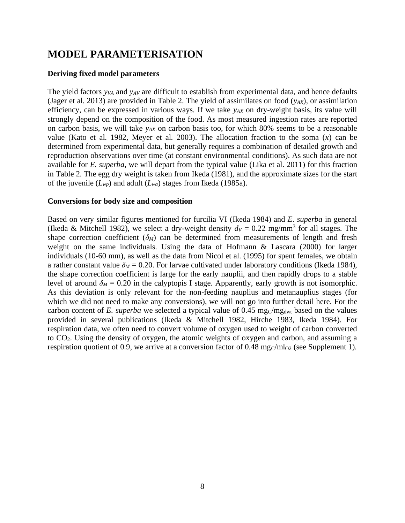# **MODEL PARAMETERISATION**

### **Deriving fixed model parameters**

The yield factors *y<sub>VA</sub>* and *y<sub>AV</sub>* are difficult to establish from experimental data, and hence defaults (Jager et al. 2013) are provided in Table 2. The yield of assimilates on food  $(y_{AX})$ , or assimilation efficiency, can be expressed in various ways. If we take  $y_{AX}$  on dry-weight basis, its value will strongly depend on the composition of the food. As most measured ingestion rates are reported on carbon basis, we will take *yAX* on carbon basis too, for which 80% seems to be a reasonable value (Kato et al. 1982, Meyer et al. 2003). The allocation fraction to the soma (*κ*) can be determined from experimental data, but generally requires a combination of detailed growth and reproduction observations over time (at constant environmental conditions). As such data are not available for *E. superba*, we will depart from the typical value (Lika et al. 2011) for this fraction in Table 2. The egg dry weight is taken from Ikeda (1981), and the approximate sizes for the start of the juvenile (*Lwp*) and adult (*Lwa*) stages from Ikeda (1985a).

### **Conversions for body size and composition**

Based on very similar figures mentioned for furcilia VI (Ikeda 1984) and *E. superba* in general (Ikeda & Mitchell 1982), we select a dry-weight density  $d_V = 0.22$  mg/mm<sup>3</sup> for all stages. The shape correction coefficient  $(\delta_M)$  can be determined from measurements of length and fresh weight on the same individuals. Using the data of Hofmann & Lascara (2000) for larger individuals (10-60 mm), as well as the data from Nicol et al. (1995) for spent females, we obtain a rather constant value  $\delta_M$  = 0.20. For larvae cultivated under laboratory conditions (Ikeda 1984), the shape correction coefficient is large for the early nauplii, and then rapidly drops to a stable level of around  $\delta_M = 0.20$  in the calyptopis I stage. Apparently, early growth is not isomorphic. As this deviation is only relevant for the non-feeding nauplius and metanauplius stages (for which we did not need to make any conversions), we will not go into further detail here. For the carbon content of *E. superba* we selected a typical value of  $0.45 \text{ mg/cmg}_{\text{dwt}}$  based on the values provided in several publications (Ikeda & Mitchell 1982, Hirche 1983, Ikeda 1984). For respiration data, we often need to convert volume of oxygen used to weight of carbon converted to CO2. Using the density of oxygen, the atomic weights of oxygen and carbon, and assuming a respiration quotient of 0.9, we arrive at a conversion factor of 0.48 mg $c/ml_{02}$  (see Supplement 1).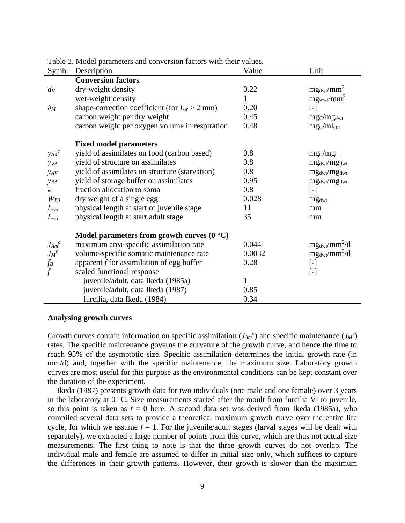|                         | Lavie 2. MOUCH parameters and conversion ractors with their values. |        |                                                                                                                                                                                                                                                                                                                                                                                                                                                                                                                                          |
|-------------------------|---------------------------------------------------------------------|--------|------------------------------------------------------------------------------------------------------------------------------------------------------------------------------------------------------------------------------------------------------------------------------------------------------------------------------------------------------------------------------------------------------------------------------------------------------------------------------------------------------------------------------------------|
| Symb.                   | Description                                                         | Value  | Unit                                                                                                                                                                                                                                                                                                                                                                                                                                                                                                                                     |
|                         | <b>Conversion factors</b>                                           |        |                                                                                                                                                                                                                                                                                                                                                                                                                                                                                                                                          |
| $d_V$                   | dry-weight density                                                  | 0.22   | $mg_{dwt}/mm^3$                                                                                                                                                                                                                                                                                                                                                                                                                                                                                                                          |
|                         | wet-weight density                                                  | 1      | $mg_{wwt}/mm^3$                                                                                                                                                                                                                                                                                                                                                                                                                                                                                                                          |
| $\delta_M$              | shape-correction coefficient (for $L_w > 2$ mm)                     | 0.20   | $[\cdot] % \centering \includegraphics[width=0.9\columnwidth]{figures/fig_10.pdf} \caption{The figure shows the number of times of the number of times. The leftmost (left) and rightmost (right) are the number of times.} \label{fig:fig:time}$                                                                                                                                                                                                                                                                                        |
|                         | carbon weight per dry weight                                        | 0.45   | mg <sub>C</sub> /mg <sub>dwt</sub>                                                                                                                                                                                                                                                                                                                                                                                                                                                                                                       |
|                         | carbon weight per oxygen volume in respiration                      | 0.48   | mgC/ml <sub>O2</sub>                                                                                                                                                                                                                                                                                                                                                                                                                                                                                                                     |
|                         | <b>Fixed model parameters</b>                                       |        |                                                                                                                                                                                                                                                                                                                                                                                                                                                                                                                                          |
| $y_{AX}$ <sup>c</sup>   | yield of assimilates on food (carbon based)                         | 0.8    | mg <sub>C</sub> /mg <sub>C</sub>                                                                                                                                                                                                                                                                                                                                                                                                                                                                                                         |
| <b>y</b> v <sub>A</sub> | yield of structure on assimilates                                   | 0.8    | mg <sub>dwt</sub> /mg <sub>dwt</sub>                                                                                                                                                                                                                                                                                                                                                                                                                                                                                                     |
| <b>y</b> <sub>AV</sub>  | yield of assimilates on structure (starvation)                      | 0.8    | mg <sub>dwt</sub> /mg <sub>dwt</sub>                                                                                                                                                                                                                                                                                                                                                                                                                                                                                                     |
| <b>YBA</b>              | yield of storage buffer on assimilates                              | 0.95   | $mg_{dwt}/mg_{dwt}$                                                                                                                                                                                                                                                                                                                                                                                                                                                                                                                      |
| $\kappa$                | fraction allocation to soma                                         | 0.8    | $[\cdot]$                                                                                                                                                                                                                                                                                                                                                                                                                                                                                                                                |
| $W_{B0}$                | dry weight of a single egg                                          | 0.028  | mg <sub>dwt</sub>                                                                                                                                                                                                                                                                                                                                                                                                                                                                                                                        |
| $L_{wp}$                | physical length at start of juvenile stage                          | 11     | mm                                                                                                                                                                                                                                                                                                                                                                                                                                                                                                                                       |
| $L_{wa}$                | physical length at start adult stage                                | 35     | mm                                                                                                                                                                                                                                                                                                                                                                                                                                                                                                                                       |
|                         | Model parameters from growth curves $(0 \degree C)$                 |        |                                                                                                                                                                                                                                                                                                                                                                                                                                                                                                                                          |
| $J_{Am}^{\ a}$          | maximum area-specific assimilation rate                             | 0.044  | $mg_{dwt}/mm^2/d$                                                                                                                                                                                                                                                                                                                                                                                                                                                                                                                        |
| $J_M{}^v$               | volume-specific somatic maintenance rate                            | 0.0032 | $mg_{dwt}/mm^3/d$                                                                                                                                                                                                                                                                                                                                                                                                                                                                                                                        |
| $f_B$                   | apparent $f$ for assimilation of egg buffer                         | 0.28   | $\left[ -\right] % \begin{minipage}[b]{.45\linewidth} \centering \includegraphics[width=\textwidth]{figs/fig_4} \caption{The number of times in the left and right.} \label{fig:fig_4} \end{minipage} \vspace{0.05\linewidth} \vspace{0.05\linewidth} \vspace{0.05\linewidth} \vspace{0.05\linewidth} \vspace{0.05\linewidth} \vspace{0.05\linewidth} \vspace{0.05\linewidth} \vspace{0.05\linewidth} \vspace{0.05\linewidth} \vspace{0.05\linewidth} \vspace{0.05\linewidth} \vspace{0.05\linewidth} \vspace{0.05\linewidth} \vspace{0$ |
| $\mathcal{f}$           | scaled functional response                                          |        | $[\cdot] % \centering \includegraphics[width=0.9\columnwidth]{figures/fig_10.pdf} \caption{The figure shows the number of times of the number of times. The leftmost (left) and rightmost (right) are the number of times.} \label{fig:fig:time}$                                                                                                                                                                                                                                                                                        |
|                         | juvenile/adult, data Ikeda (1985a)                                  | 1      |                                                                                                                                                                                                                                                                                                                                                                                                                                                                                                                                          |
|                         | juvenile/adult, data Ikeda (1987)                                   | 0.85   |                                                                                                                                                                                                                                                                                                                                                                                                                                                                                                                                          |
|                         | furcilia, data Ikeda (1984)                                         | 0.34   |                                                                                                                                                                                                                                                                                                                                                                                                                                                                                                                                          |

Table 2. Model parameters and conversion factors with their values.

#### **Analysing growth curves**

Growth curves contain information on specific assimilation  $(J_{Am}^a)$  and specific maintenance  $(J_M^v)$ rates. The specific maintenance governs the curvature of the growth curve, and hence the time to reach 95% of the asymptotic size. Specific assimilation determines the initial growth rate (in mm/d) and, together with the specific maintenance, the maximum size. Laboratory growth curves are most useful for this purpose as the environmental conditions can be kept constant over the duration of the experiment.

Ikeda (1987) presents growth data for two individuals (one male and one female) over 3 years in the laboratory at 0 °C. Size measurements started after the moult from furcilia VI to juvenile, so this point is taken as  $t = 0$  here. A second data set was derived from Ikeda (1985a), who compiled several data sets to provide a theoretical maximum growth curve over the entire life cycle, for which we assume  $f = 1$ . For the juvenile/adult stages (larval stages will be dealt with separately), we extracted a large number of points from this curve, which are thus not actual size measurements. The first thing to note is that the three growth curves do not overlap. The individual male and female are assumed to differ in initial size only, which suffices to capture the differences in their growth patterns. However, their growth is slower than the maximum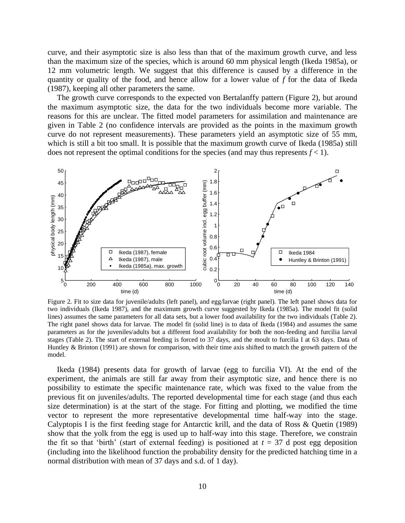curve, and their asymptotic size is also less than that of the maximum growth curve, and less than the maximum size of the species, which is around 60 mm physical length (Ikeda 1985a), or 12 mm volumetric length. We suggest that this difference is caused by a difference in the quantity or quality of the food, and hence allow for a lower value of *f* for the data of Ikeda (1987), keeping all other parameters the same.

The growth curve corresponds to the expected von Bertalanffy pattern [\(Figure 2\)](#page-9-0), but around the maximum asymptotic size, the data for the two individuals become more variable. The reasons for this are unclear. The fitted model parameters for assimilation and maintenance are given in Table 2 (no confidence intervals are provided as the points in the maximum growth curve do not represent measurements). These parameters yield an asymptotic size of 55 mm, which is still a bit too small. It is possible that the maximum growth curve of Ikeda (1985a) still does not represent the optimal conditions for the species (and may thus represents  $f < 1$ ).



<span id="page-9-0"></span>Figure 2. Fit to size data for juvenile/adults (left panel), and egg/larvae (right panel). The left panel shows data for two individuals (Ikeda 1987), and the maximum growth curve suggested by Ikeda (1985a). The model fit (solid lines) assumes the same parameters for all data sets, but a lower food availability for the two individuals (Table 2). The right panel shows data for larvae. The model fit (solid line) is to data of Ikeda (1984) and assumes the same parameters as for the juveniles/adults but a different food availability for both the non-feeding and furcilia larval stages (Table 2). The start of external feeding is forced to 37 days, and the moult to furcilia I at 63 days. Data of Huntley & Brinton (1991) are shown for comparison, with their time axis shifted to match the growth pattern of the model.

Ikeda (1984) presents data for growth of larvae (egg to furcilia VI). At the end of the experiment, the animals are still far away from their asymptotic size, and hence there is no possibility to estimate the specific maintenance rate, which was fixed to the value from the previous fit on juveniles/adults. The reported developmental time for each stage (and thus each size determination) is at the start of the stage. For fitting and plotting, we modified the time vector to represent the more representative developmental time half-way into the stage. Calyptopis I is the first feeding stage for Antarctic krill, and the data of Ross & Quetin (1989) show that the yolk from the egg is used up to half-way into this stage. Therefore, we constrain the fit so that 'birth' (start of external feeding) is positioned at  $t = 37$  d post egg deposition (including into the likelihood function the probability density for the predicted hatching time in a normal distribution with mean of 37 days and s.d. of 1 day).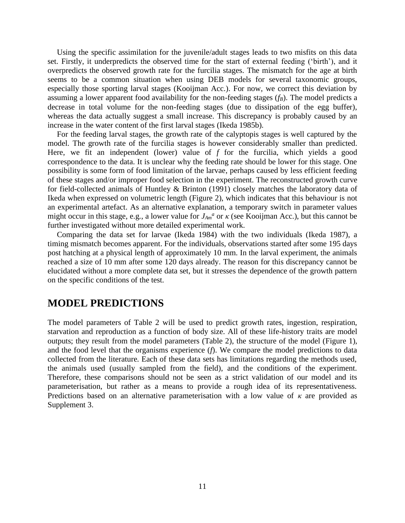Using the specific assimilation for the juvenile/adult stages leads to two misfits on this data set. Firstly, it underpredicts the observed time for the start of external feeding ('birth'), and it overpredicts the observed growth rate for the furcilia stages. The mismatch for the age at birth seems to be a common situation when using DEB models for several taxonomic groups, especially those sporting larval stages (Kooijman Acc.). For now, we correct this deviation by assuming a lower apparent food availability for the non-feeding stages (*fB*). The model predicts a decrease in total volume for the non-feeding stages (due to dissipation of the egg buffer), whereas the data actually suggest a small increase. This discrepancy is probably caused by an increase in the water content of the first larval stages (Ikeda 1985b).

For the feeding larval stages, the growth rate of the calyptopis stages is well captured by the model. The growth rate of the furcilia stages is however considerably smaller than predicted. Here, we fit an independent (lower) value of *f* for the furcilia, which yields a good correspondence to the data. It is unclear why the feeding rate should be lower for this stage. One possibility is some form of food limitation of the larvae, perhaps caused by less efficient feeding of these stages and/or improper food selection in the experiment. The reconstructed growth curve for field-collected animals of Huntley & Brinton (1991) closely matches the laboratory data of Ikeda when expressed on volumetric length [\(Figure 2\)](#page-9-0), which indicates that this behaviour is not an experimental artefact. As an alternative explanation, a temporary switch in parameter values might occur in this stage, e.g., a lower value for  $J_{Am}^a$  or  $\kappa$  (see Kooijman Acc.), but this cannot be further investigated without more detailed experimental work.

Comparing the data set for larvae (Ikeda 1984) with the two individuals (Ikeda 1987), a timing mismatch becomes apparent. For the individuals, observations started after some 195 days post hatching at a physical length of approximately 10 mm. In the larval experiment, the animals reached a size of 10 mm after some 120 days already. The reason for this discrepancy cannot be elucidated without a more complete data set, but it stresses the dependence of the growth pattern on the specific conditions of the test.

# **MODEL PREDICTIONS**

The model parameters of Table 2 will be used to predict growth rates, ingestion, respiration, starvation and reproduction as a function of body size. All of these life-history traits are model outputs; they result from the model parameters (Table 2), the structure of the model [\(Figure 1\)](#page-2-0), and the food level that the organisms experience (*f*). We compare the model predictions to data collected from the literature. Each of these data sets has limitations regarding the methods used, the animals used (usually sampled from the field), and the conditions of the experiment. Therefore, these comparisons should not be seen as a strict validation of our model and its parameterisation, but rather as a means to provide a rough idea of its representativeness. Predictions based on an alternative parameterisation with a low value of  $\kappa$  are provided as Supplement 3.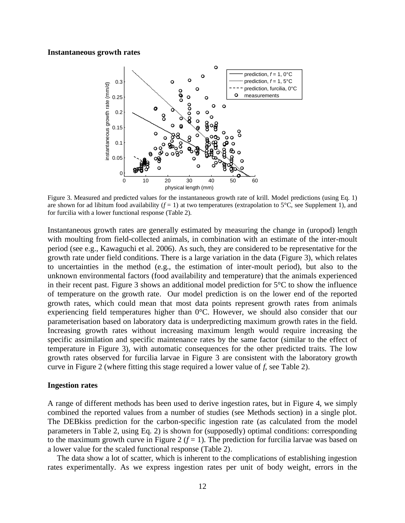#### **Instantaneous growth rates**



<span id="page-11-0"></span>Figure 3. Measured and predicted values for the instantaneous growth rate of krill. Model predictions (using Eq. 1) are shown for ad libitum food availability  $(f = 1)$  at two temperatures (extrapolation to 5<sup>o</sup>C, see Supplement 1), and for furcilia with a lower functional response (Table 2).

Instantaneous growth rates are generally estimated by measuring the change in (uropod) length with moulting from field-collected animals, in combination with an estimate of the inter-moult period (see e.g., Kawaguchi et al. 2006). As such, they are considered to be representative for the growth rate under field conditions. There is a large variation in the data [\(Figure 3\)](#page-11-0), which relates to uncertainties in the method (e.g., the estimation of inter-moult period), but also to the unknown environmental factors (food availability and temperature) that the animals experienced in their recent past. [Figure 3](#page-11-0) shows an additional model prediction for  $5^{\circ}C$  to show the influence of temperature on the growth rate. Our model prediction is on the lower end of the reported growth rates, which could mean that most data points represent growth rates from animals experiencing field temperatures higher than 0°C. However, we should also consider that our parameterisation based on laboratory data is underpredicting maximum growth rates in the field. Increasing growth rates without increasing maximum length would require increasing the specific assimilation and specific maintenance rates by the same factor (similar to the effect of temperature in [Figure 3\)](#page-11-0), with automatic consequences for the other predicted traits. The low growth rates observed for furcilia larvae in [Figure 3](#page-11-0) are consistent with the laboratory growth curve in [Figure 2](#page-9-0) (where fitting this stage required a lower value of *f*, see Table 2).

#### **Ingestion rates**

A range of different methods has been used to derive ingestion rates, but in [Figure 4,](#page-12-0) we simply combined the reported values from a number of studies (see Methods section) in a single plot. The DEBkiss prediction for the carbon-specific ingestion rate (as calculated from the model parameters in Table 2, using Eq. 2) is shown for (supposedly) optimal conditions: corresponding to the maximum growth curve in [Figure 2](#page-9-0)  $(f = 1)$ . The prediction for furcilia larvae was based on a lower value for the scaled functional response (Table 2).

The data show a lot of scatter, which is inherent to the complications of establishing ingestion rates experimentally. As we express ingestion rates per unit of body weight, errors in the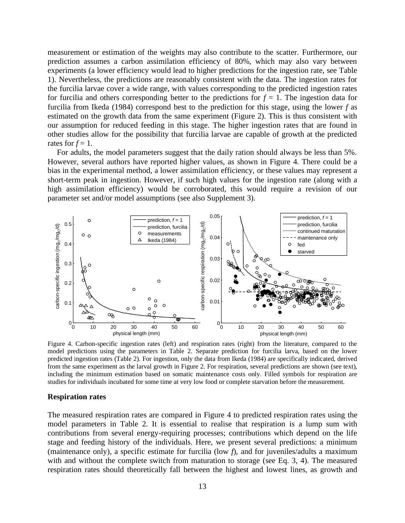measurement or estimation of the weights may also contribute to the scatter. Furthermore, our prediction assumes a carbon assimilation efficiency of 80%, which may also vary between experiments (a lower efficiency would lead to higher predictions for the ingestion rate, see Table 1). Nevertheless, the predictions are reasonably consistent with the data. The ingestion rates for the furcilia larvae cover a wide range, with values corresponding to the predicted ingestion rates for furcilia and others corresponding better to the predictions for  $f = 1$ . The ingestion data for furcilia from Ikeda (1984) correspond best to the prediction for this stage, using the lower *f* as estimated on the growth data from the same experiment [\(Figure 2\)](#page-9-0). This is thus consistent with our assumption for reduced feeding in this stage. The higher ingestion rates that are found in other studies allow for the possibility that furcilia larvae are capable of growth at the predicted rates for  $f = 1$ .

For adults, the model parameters suggest that the daily ration should always be less than 5%. However, several authors have reported higher values, as shown in [Figure 4.](#page-12-0) There could be a bias in the experimental method, a lower assimilation efficiency, or these values may represent a short-term peak in ingestion. However, if such high values for the ingestion rate (along with a high assimilation efficiency) would be corroborated, this would require a revision of our parameter set and/or model assumptions (see also Supplement 3).



<span id="page-12-0"></span>Figure 4. Carbon-specific ingestion rates (left) and respiration rates (right) from the literature, compared to the model predictions using the parameters in Table 2. Separate prediction for furcilia larva, based on the lower predicted ingestion rates (Table 2). For ingestion, only the data from Ikeda (1984) are specifically indicated, derived from the same experiment as the larval growth in Figure 2. For respiration, several predictions are shown (see text), including the minimum estimation based on somatic maintenance costs only. Filled symbols for respiration are studies for individuals incubated for some time at very low food or complete starvation before the measurement.

### **Respiration rates**

The measured respiration rates are compared in [Figure 4](#page-12-0) to predicted respiration rates using the model parameters in Table 2. It is essential to realise that respiration is a lump sum with contributions from several energy-requiring processes; contributions which depend on the life stage and feeding history of the individuals. Here, we present several predictions: a minimum (maintenance only), a specific estimate for furcilia (low *f*), and for juveniles/adults a maximum with and without the complete switch from maturation to storage (see Eq. 3, 4). The measured respiration rates should theoretically fall between the highest and lowest lines, as growth and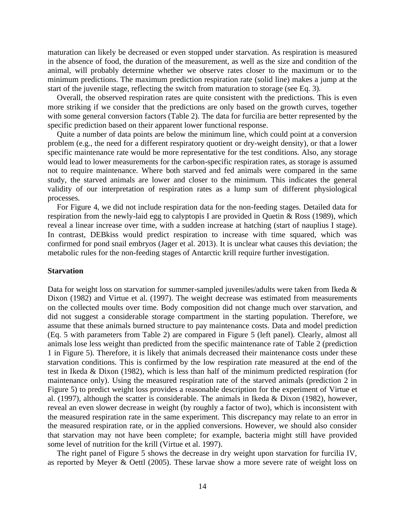maturation can likely be decreased or even stopped under starvation. As respiration is measured in the absence of food, the duration of the measurement, as well as the size and condition of the animal, will probably determine whether we observe rates closer to the maximum or to the minimum predictions. The maximum prediction respiration rate (solid line) makes a jump at the start of the juvenile stage, reflecting the switch from maturation to storage (see Eq. 3).

Overall, the observed respiration rates are quite consistent with the predictions. This is even more striking if we consider that the predictions are only based on the growth curves, together with some general conversion factors (Table 2). The data for furcilia are better represented by the specific prediction based on their apparent lower functional response.

Quite a number of data points are below the minimum line, which could point at a conversion problem (e.g., the need for a different respiratory quotient or dry-weight density), or that a lower specific maintenance rate would be more representative for the test conditions. Also, any storage would lead to lower measurements for the carbon-specific respiration rates, as storage is assumed not to require maintenance. Where both starved and fed animals were compared in the same study, the starved animals are lower and closer to the minimum. This indicates the general validity of our interpretation of respiration rates as a lump sum of different physiological processes.

For [Figure 4,](#page-12-0) we did not include respiration data for the non-feeding stages. Detailed data for respiration from the newly-laid egg to calyptopis I are provided in Quetin & Ross (1989), which reveal a linear increase over time, with a sudden increase at hatching (start of nauplius I stage). In contrast, DEBkiss would predict respiration to increase with time squared, which was confirmed for pond snail embryos (Jager et al. 2013). It is unclear what causes this deviation; the metabolic rules for the non-feeding stages of Antarctic krill require further investigation.

#### **Starvation**

Data for weight loss on starvation for summer-sampled juveniles/adults were taken from Ikeda & Dixon (1982) and Virtue et al. (1997). The weight decrease was estimated from measurements on the collected moults over time. Body composition did not change much over starvation, and did not suggest a considerable storage compartment in the starting population. Therefore, we assume that these animals burned structure to pay maintenance costs. Data and model prediction (Eq. 5 with parameters from Table 2) are compared in [Figure 5](#page-14-0) (left panel). Clearly, almost all animals lose less weight than predicted from the specific maintenance rate of Table 2 (prediction 1 in [Figure 5\)](#page-14-0). Therefore, it is likely that animals decreased their maintenance costs under these starvation conditions. This is confirmed by the low respiration rate measured at the end of the test in Ikeda & Dixon (1982), which is less than half of the minimum predicted respiration (for maintenance only). Using the measured respiration rate of the starved animals (prediction 2 in [Figure 5\)](#page-14-0) to predict weight loss provides a reasonable description for the experiment of Virtue et al. (1997), although the scatter is considerable. The animals in Ikeda & Dixon (1982), however, reveal an even slower decrease in weight (by roughly a factor of two), which is inconsistent with the measured respiration rate in the same experiment. This discrepancy may relate to an error in the measured respiration rate, or in the applied conversions. However, we should also consider that starvation may not have been complete; for example, bacteria might still have provided some level of nutrition for the krill (Virtue et al. 1997).

The right panel of [Figure 5](#page-14-0) shows the decrease in dry weight upon starvation for furcilia IV, as reported by Meyer & Oettl (2005). These larvae show a more severe rate of weight loss on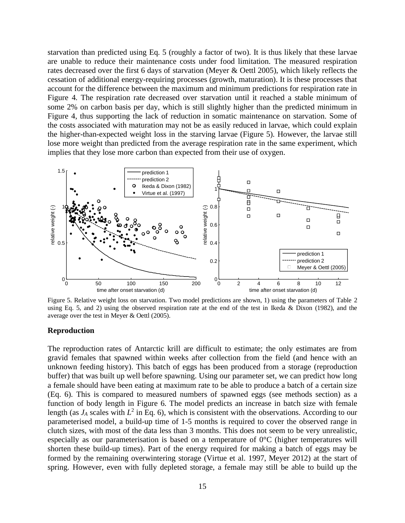starvation than predicted using Eq. 5 (roughly a factor of two). It is thus likely that these larvae are unable to reduce their maintenance costs under food limitation. The measured respiration rates decreased over the first 6 days of starvation (Meyer & Oettl 2005), which likely reflects the cessation of additional energy-requiring processes (growth, maturation). It is these processes that account for the difference between the maximum and minimum predictions for respiration rate in [Figure 4.](#page-12-0) The respiration rate decreased over starvation until it reached a stable minimum of some 2% on carbon basis per day, which is still slightly higher than the predicted minimum in [Figure 4,](#page-12-0) thus supporting the lack of reduction in somatic maintenance on starvation. Some of the costs associated with maturation may not be as easily reduced in larvae, which could explain the higher-than-expected weight loss in the starving larvae [\(Figure 5\)](#page-14-0). However, the larvae still lose more weight than predicted from the average respiration rate in the same experiment, which implies that they lose more carbon than expected from their use of oxygen.



<span id="page-14-0"></span>Figure 5. Relative weight loss on starvation. Two model predictions are shown, 1) using the parameters of Table 2 using Eq. 5, and 2) using the observed respiration rate at the end of the test in Ikeda & Dixon (1982), and the average over the test in Meyer & Oettl (2005).

#### **Reproduction**

The reproduction rates of Antarctic krill are difficult to estimate; the only estimates are from gravid females that spawned within weeks after collection from the field (and hence with an unknown feeding history). This batch of eggs has been produced from a storage (reproduction buffer) that was built up well before spawning. Using our parameter set, we can predict how long a female should have been eating at maximum rate to be able to produce a batch of a certain size (Eq. 6). This is compared to measured numbers of spawned eggs (see methods section) as a function of body length in [Figure 6.](#page-15-0) The model predicts an increase in batch size with female length (as  $J_A$  scales with  $L^2$  in Eq. 6), which is consistent with the observations. According to our parameterised model, a build-up time of 1-5 months is required to cover the observed range in clutch sizes, with most of the data less than 3 months. This does not seem to be very unrealistic, especially as our parameterisation is based on a temperature of  $0^{\circ}$ C (higher temperatures will shorten these build-up times). Part of the energy required for making a batch of eggs may be formed by the remaining overwintering storage (Virtue et al. 1997, Meyer 2012) at the start of spring. However, even with fully depleted storage, a female may still be able to build up the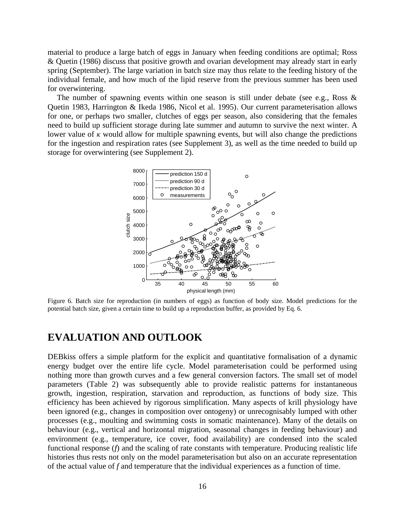material to produce a large batch of eggs in January when feeding conditions are optimal; Ross & Quetin (1986) discuss that positive growth and ovarian development may already start in early spring (September). The large variation in batch size may thus relate to the feeding history of the individual female, and how much of the lipid reserve from the previous summer has been used for overwintering.

The number of spawning events within one season is still under debate (see e.g., Ross  $\&$ Quetin 1983, Harrington & Ikeda 1986, Nicol et al. 1995). Our current parameterisation allows for one, or perhaps two smaller, clutches of eggs per season, also considering that the females need to build up sufficient storage during late summer and autumn to survive the next winter. A lower value of  $\kappa$  would allow for multiple spawning events, but will also change the predictions for the ingestion and respiration rates (see Supplement 3), as well as the time needed to build up storage for overwintering (see Supplement 2).



<span id="page-15-0"></span>Figure 6. Batch size for reproduction (in numbers of eggs) as function of body size. Model predictions for the potential batch size, given a certain time to build up a reproduction buffer, as provided by Eq. 6.

# **EVALUATION AND OUTLOOK**

DEBkiss offers a simple platform for the explicit and quantitative formalisation of a dynamic energy budget over the entire life cycle. Model parameterisation could be performed using nothing more than growth curves and a few general conversion factors. The small set of model parameters (Table 2) was subsequently able to provide realistic patterns for instantaneous growth, ingestion, respiration, starvation and reproduction, as functions of body size. This efficiency has been achieved by rigorous simplification. Many aspects of krill physiology have been ignored (e.g., changes in composition over ontogeny) or unrecognisably lumped with other processes (e.g., moulting and swimming costs in somatic maintenance). Many of the details on behaviour (e.g., vertical and horizontal migration, seasonal changes in feeding behaviour) and environment (e.g., temperature, ice cover, food availability) are condensed into the scaled functional response (*f*) and the scaling of rate constants with temperature. Producing realistic life histories thus rests not only on the model parameterisation but also on an accurate representation of the actual value of *f* and temperature that the individual experiences as a function of time.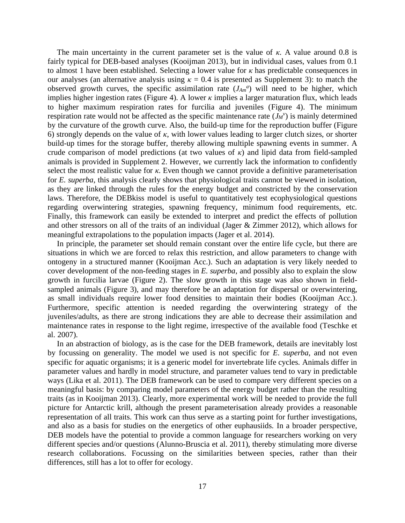The main uncertainty in the current parameter set is the value of  $\kappa$ . A value around 0.8 is fairly typical for DEB-based analyses (Kooijman 2013), but in individual cases, values from 0.1 to almost 1 have been established. Selecting a lower value for *κ* has predictable consequences in our analyses (an alternative analysis using  $\kappa = 0.4$  is presented as Supplement 3): to match the observed growth curves, the specific assimilation rate  $(J_{Am}^a)$  will need to be higher, which implies higher ingestion rates [\(Figure 4\)](#page-12-0). A lower  $\kappa$  implies a larger maturation flux, which leads to higher maximum respiration rates for furcilia and juveniles [\(Figure 4\)](#page-12-0). The minimum respiration rate would not be affected as the specific maintenance rate  $(J_M^{\nu})$  is mainly determined by the curvature of the growth curve. Also, the build-up time for the reproduction buffer [\(Figure](#page-15-0)  [6\)](#page-15-0) strongly depends on the value of *κ*, with lower values leading to larger clutch sizes, or shorter build-up times for the storage buffer, thereby allowing multiple spawning events in summer. A crude comparison of model predictions (at two values of *κ*) and lipid data from field-sampled animals is provided in Supplement 2. However, we currently lack the information to confidently select the most realistic value for *κ*. Even though we cannot provide a definitive parameterisation for *E. superba*, this analysis clearly shows that physiological traits cannot be viewed in isolation, as they are linked through the rules for the energy budget and constricted by the conservation laws. Therefore, the DEBkiss model is useful to quantitatively test ecophysiological questions regarding overwintering strategies, spawning frequency, minimum food requirements, etc. Finally, this framework can easily be extended to interpret and predict the effects of pollution and other stressors on all of the traits of an individual (Jager & Zimmer 2012), which allows for meaningful extrapolations to the population impacts (Jager et al. 2014).

In principle, the parameter set should remain constant over the entire life cycle, but there are situations in which we are forced to relax this restriction, and allow parameters to change with ontogeny in a structured manner (Kooijman Acc.). Such an adaptation is very likely needed to cover development of the non-feeding stages in *E. superba*, and possibly also to explain the slow growth in furcilia larvae [\(Figure 2\)](#page-9-0). The slow growth in this stage was also shown in fieldsampled animals [\(Figure 3\)](#page-11-0), and may therefore be an adaptation for dispersal or overwintering, as small individuals require lower food densities to maintain their bodies (Kooijman Acc.). Furthermore, specific attention is needed regarding the overwintering strategy of the juveniles/adults, as there are strong indications they are able to decrease their assimilation and maintenance rates in response to the light regime, irrespective of the available food (Teschke et al. 2007).

In an abstraction of biology, as is the case for the DEB framework, details are inevitably lost by focussing on generality. The model we used is not specific for *E. superba*, and not even specific for aquatic organisms; it is a generic model for invertebrate life cycles. Animals differ in parameter values and hardly in model structure, and parameter values tend to vary in predictable ways (Lika et al. 2011). The DEB framework can be used to compare very different species on a meaningful basis: by comparing model parameters of the energy budget rather than the resulting traits (as in Kooijman 2013). Clearly, more experimental work will be needed to provide the full picture for Antarctic krill, although the present parameterisation already provides a reasonable representation of all traits. This work can thus serve as a starting point for further investigations, and also as a basis for studies on the energetics of other euphausiids. In a broader perspective, DEB models have the potential to provide a common language for researchers working on very different species and/or questions (Alunno-Bruscia et al. 2011), thereby stimulating more diverse research collaborations. Focussing on the similarities between species, rather than their differences, still has a lot to offer for ecology.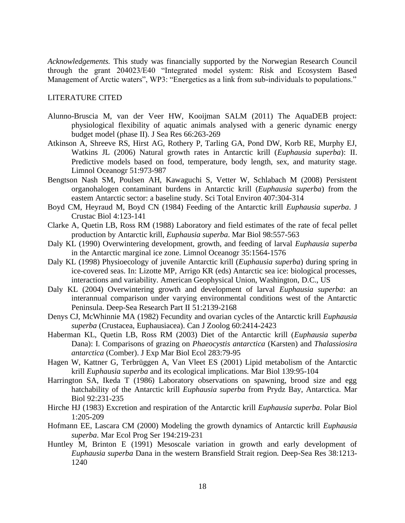*Acknowledgements.* This study was financially supported by the Norwegian Research Council through the grant 204023/E40 "Integrated model system: Risk and Ecosystem Based Management of Arctic waters", WP3: "Energetics as a link from sub-individuals to populations."

### LITERATURE CITED

- Alunno-Bruscia M, van der Veer HW, Kooijman SALM (2011) The AquaDEB project: physiological flexibility of aquatic animals analysed with a generic dynamic energy budget model (phase II). J Sea Res 66:263-269
- Atkinson A, Shreeve RS, Hirst AG, Rothery P, Tarling GA, Pond DW, Korb RE, Murphy EJ, Watkins JL (2006) Natural growth rates in Antarctic krill (*Euphausia superba*): II. Predictive models based on food, temperature, body length, sex, and maturity stage. Limnol Oceanogr 51:973-987
- Bengtson Nash SM, Poulsen AH, Kawaguchi S, Vetter W, Schlabach M (2008) Persistent organohalogen contaminant burdens in Antarctic krill (*Euphausia superba*) from the eastem Antarctic sector: a baseline study. Sci Total Environ 407:304-314
- Boyd CM, Heyraud M, Boyd CN (1984) Feeding of the Antarctic krill *Euphausia superba*. J Crustac Biol 4:123-141
- Clarke A, Quetin LB, Ross RM (1988) Laboratory and field estimates of the rate of fecal pellet production by Antarctic krill, *Euphausia superba*. Mar Biol 98:557-563
- Daly KL (1990) Overwintering development, growth, and feeding of larval *Euphausia superba* in the Antarctic marginal ice zone. Limnol Oceanogr 35:1564-1576
- Daly KL (1998) Physioecology of juvenile Antarctic krill (*Euphausia superba*) during spring in ice-covered seas. In: Lizotte MP, Arrigo KR (eds) Antarctic sea ice: biological processes, interactions and variability. American Geophysical Union, Washington, D.C., US
- Daly KL (2004) Overwintering growth and development of larval *Euphausia superba*: an interannual comparison under varying environmental conditions west of the Antarctic Peninsula. Deep-Sea Research Part II 51:2139-2168
- Denys CJ, McWhinnie MA (1982) Fecundity and ovarian cycles of the Antarctic krill *Euphausia superba* (Crustacea, Euphausiacea). Can J Zoolog 60:2414-2423
- Haberman KL, Quetin LB, Ross RM (2003) Diet of the Antarctic krill (*Euphausia superba* Dana): I. Comparisons of grazing on *Phaeocystis antarctica* (Karsten) and *Thalassiosira antarctica* (Comber). J Exp Mar Biol Ecol 283:79-95
- Hagen W, Kattner G, Terbrüggen A, Van Vleet ES (2001) Lipid metabolism of the Antarctic krill *Euphausia superba* and its ecological implications. Mar Biol 139:95-104
- Harrington SA, Ikeda T (1986) Laboratory observations on spawning, brood size and egg hatchability of the Antarctic krill *Euphausia superba* from Prydz Bay, Antarctica. Mar Biol 92:231-235
- Hirche HJ (1983) Excretion and respiration of the Antarctic krill *Euphausia superba*. Polar Biol 1:205-209
- Hofmann EE, Lascara CM (2000) Modeling the growth dynamics of Antarctic krill *Euphausia superba*. Mar Ecol Prog Ser 194:219-231
- Huntley M, Brinton E (1991) Mesoscale variation in growth and early development of *Euphausia superba* Dana in the western Bransfield Strait region. Deep-Sea Res 38:1213- 1240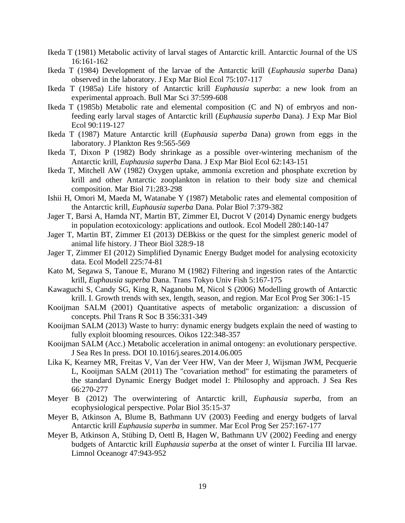- Ikeda T (1981) Metabolic activity of larval stages of Antarctic krill. Antarctic Journal of the US 16:161-162
- Ikeda T (1984) Development of the larvae of the Antarctic krill (*Euphausia superba* Dana) observed in the laboratory. J Exp Mar Biol Ecol 75:107-117
- Ikeda T (1985a) Life history of Antarctic krill *Euphausia superba*: a new look from an experimental approach. Bull Mar Sci 37:599-608
- Ikeda T (1985b) Metabolic rate and elemental composition (C and N) of embryos and nonfeeding early larval stages of Antarctic krill (*Euphausia superba* Dana). J Exp Mar Biol Ecol 90:119-127
- Ikeda T (1987) Mature Antarctic krill (*Euphausia superba* Dana) grown from eggs in the laboratory. J Plankton Res 9:565-569
- Ikeda T, Dixon P (1982) Body shrinkage as a possible over-wintering mechanism of the Antarctic krill, *Euphausia superba* Dana. J Exp Mar Biol Ecol 62:143-151
- Ikeda T, Mitchell AW (1982) Oxygen uptake, ammonia excretion and phosphate excretion by krill and other Antarctic zooplankton in relation to their body size and chemical composition. Mar Biol 71:283-298
- Ishii H, Omori M, Maeda M, Watanabe Y (1987) Metabolic rates and elemental composition of the Antarctic krill, *Euphausia superba* Dana. Polar Biol 7:379-382
- Jager T, Barsi A, Hamda NT, Martin BT, Zimmer EI, Ducrot V (2014) Dynamic energy budgets in population ecotoxicology: applications and outlook. Ecol Modell 280:140-147
- Jager T, Martin BT, Zimmer EI (2013) DEBkiss or the quest for the simplest generic model of animal life history. J Theor Biol 328:9-18
- Jager T, Zimmer EI (2012) Simplified Dynamic Energy Budget model for analysing ecotoxicity data. Ecol Modell 225:74-81
- Kato M, Segawa S, Tanoue E, Murano M (1982) Filtering and ingestion rates of the Antarctic krill, *Euphausia superba* Dana. Trans Tokyo Univ Fish 5:167-175
- Kawaguchi S, Candy SG, King R, Naganobu M, Nicol S (2006) Modelling growth of Antarctic krill. I. Growth trends with sex, length, season, and region. Mar Ecol Prog Ser 306:1-15
- Kooijman SALM (2001) Quantitative aspects of metabolic organization: a discussion of concepts. Phil Trans R Soc B 356:331-349
- Kooijman SALM (2013) Waste to hurry: dynamic energy budgets explain the need of wasting to fully exploit blooming resources. Oikos 122:348-357
- Kooijman SALM (Acc.) Metabolic acceleration in animal ontogeny: an evolutionary perspective. J Sea Res In press. DOI 10.1016/j.seares.2014.06.005
- Lika K, Kearney MR, Freitas V, Van der Veer HW, Van der Meer J, Wijsman JWM, Pecquerie L, Kooijman SALM (2011) The "covariation method" for estimating the parameters of the standard Dynamic Energy Budget model I: Philosophy and approach. J Sea Res 66:270-277
- Meyer B (2012) The overwintering of Antarctic krill, *Euphausia superba*, from an ecophysiological perspective. Polar Biol 35:15-37
- Meyer B, Atkinson A, Blume B, Bathmann UV (2003) Feeding and energy budgets of larval Antarctic krill *Euphausia superba* in summer. Mar Ecol Prog Ser 257:167-177
- Meyer B, Atkinson A, Stübing D, Oettl B, Hagen W, Bathmann UV (2002) Feeding and energy budgets of Antarctic krill *Euphausia superba* at the onset of winter I. Furcilia III larvae. Limnol Oceanogr 47:943-952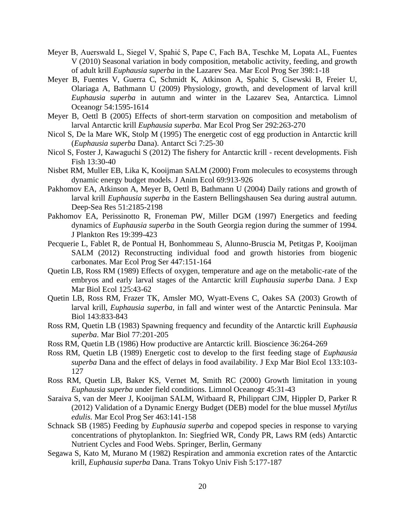- Meyer B, Auerswald L, Siegel V, Spahić S, Pape C, Fach BA, Teschke M, Lopata AL, Fuentes V (2010) Seasonal variation in body composition, metabolic activity, feeding, and growth of adult krill *Euphausia superba* in the Lazarev Sea. Mar Ecol Prog Ser 398:1-18
- Meyer B, Fuentes V, Guerra C, Schmidt K, Atkinson A, Spahic S, Cisewski B, Freier U, Olariaga A, Bathmann U (2009) Physiology, growth, and development of larval krill *Euphausia superba* in autumn and winter in the Lazarev Sea, Antarctica. Limnol Oceanogr 54:1595-1614
- Meyer B, Oettl B (2005) Effects of short-term starvation on composition and metabolism of larval Antarctic krill *Euphausia superba*. Mar Ecol Prog Ser 292:263-270
- Nicol S, De la Mare WK, Stolp M (1995) The energetic cost of egg production in Antarctic krill (*Euphausia superba* Dana). Antarct Sci 7:25-30
- Nicol S, Foster J, Kawaguchi S (2012) The fishery for Antarctic krill recent developments. Fish Fish 13:30-40
- Nisbet RM, Muller EB, Lika K, Kooijman SALM (2000) From molecules to ecosystems through dynamic energy budget models. J Anim Ecol 69:913-926
- Pakhomov EA, Atkinson A, Meyer B, Oettl B, Bathmann U (2004) Daily rations and growth of larval krill *Euphausia superba* in the Eastern Bellingshausen Sea during austral autumn. Deep-Sea Res 51:2185-2198
- Pakhomov EA, Perissinotto R, Froneman PW, Miller DGM (1997) Energetics and feeding dynamics of *Euphausia superba* in the South Georgia region during the summer of 1994. J Plankton Res 19:399-423
- Pecquerie L, Fablet R, de Pontual H, Bonhommeau S, Alunno-Bruscia M, Petitgas P, Kooijman SALM (2012) Reconstructing individual food and growth histories from biogenic carbonates. Mar Ecol Prog Ser 447:151-164
- Quetin LB, Ross RM (1989) Effects of oxygen, temperature and age on the metabolic-rate of the embryos and early larval stages of the Antarctic krill *Euphausia superba* Dana. J Exp Mar Biol Ecol 125:43-62
- Quetin LB, Ross RM, Frazer TK, Amsler MO, Wyatt-Evens C, Oakes SA (2003) Growth of larval krill, *Euphausia superba*, in fall and winter west of the Antarctic Peninsula. Mar Biol 143:833-843
- Ross RM, Quetin LB (1983) Spawning frequency and fecundity of the Antarctic krill *Euphausia superba*. Mar Biol 77:201-205
- Ross RM, Quetin LB (1986) How productive are Antarctic krill. Bioscience 36:264-269
- Ross RM, Quetin LB (1989) Energetic cost to develop to the first feeding stage of *Euphausia superba* Dana and the effect of delays in food availability. J Exp Mar Biol Ecol 133:103- 127
- Ross RM, Quetin LB, Baker KS, Vernet M, Smith RC (2000) Growth limitation in young *Euphausia superba* under field conditions. Limnol Oceanogr 45:31-43
- Saraiva S, van der Meer J, Kooijman SALM, Witbaard R, Philippart CJM, Hippler D, Parker R (2012) Validation of a Dynamic Energy Budget (DEB) model for the blue mussel *Mytilus edulis*. Mar Ecol Prog Ser 463:141-158
- Schnack SB (1985) Feeding by *Euphausia superba* and copepod species in response to varying concentrations of phytoplankton. In: Siegfried WR, Condy PR, Laws RM (eds) Antarctic Nutrient Cycles and Food Webs. Springer, Berlin, Germany
- Segawa S, Kato M, Murano M (1982) Respiration and ammonia excretion rates of the Antarctic krill, *Euphausia superba* Dana. Trans Tokyo Univ Fish 5:177-187